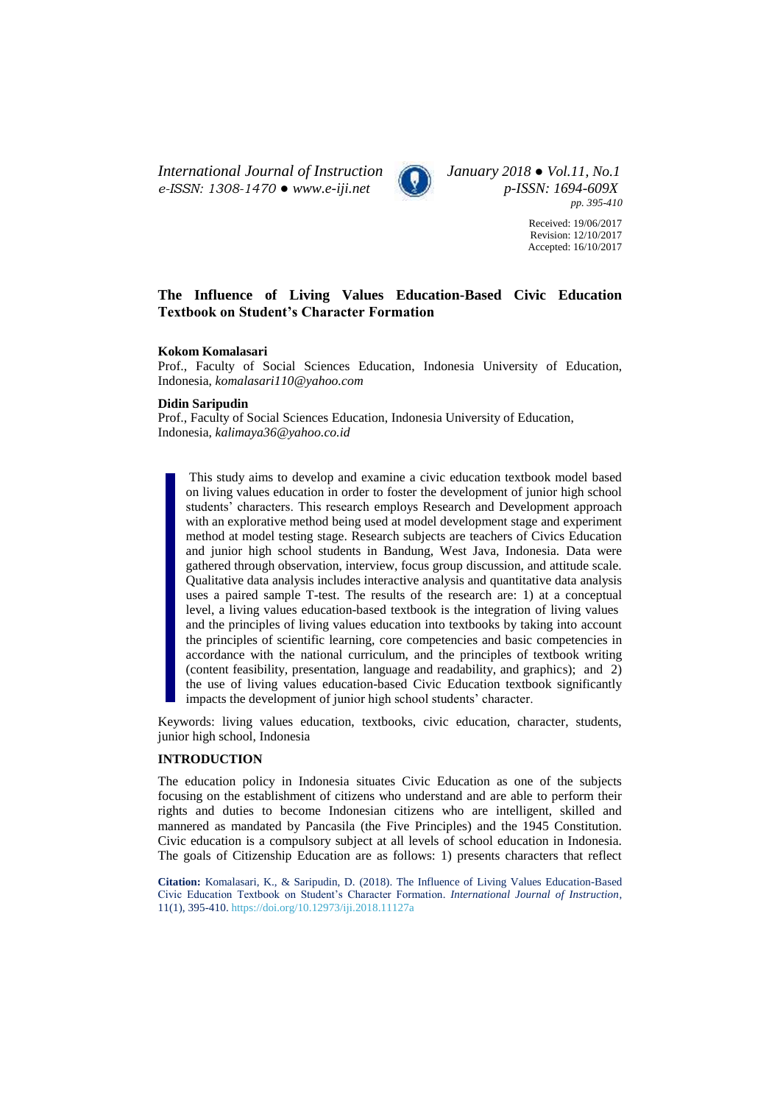*International Journal of Instruction January 2018 ● Vol.11, No.1 e-ISSN: 1308-1470 ● [www.e-iji.net](http://www.e-iji.net/) p-ISSN: 1694-609X*



*pp. 395-410*

Received: 19/06/2017 Revision: 12/10/2017 Accepted: 16/10/2017

# **The Influence of Living Values Education-Based Civic Education Textbook on Student's Character Formation**

### **Kokom Komalasari**

Prof., Faculty of Social Sciences Education, Indonesia University of Education, Indonesia, *[komalasari110@yahoo.com](mailto:komalasari110@yahoo.com)*

### **Didin Saripudin**

Prof., Faculty of Social Sciences Education, Indonesia University of Education, Indonesia, *[kalimaya36@yahoo.co.id](mailto:kalimaya36@yahoo.co.id)*

This study aims to develop and examine a civic education textbook model based on living values education in order to foster the development of junior high school students' characters. This research employs Research and Development approach with an explorative method being used at model development stage and experiment method at model testing stage. Research subjects are teachers of Civics Education and junior high school students in Bandung, West Java, Indonesia. Data were gathered through observation, interview, focus group discussion, and attitude scale. Qualitative data analysis includes interactive analysis and quantitative data analysis uses a paired sample T-test. The results of the research are: 1) at a conceptual level, a living values education-based textbook is the integration of living values and the principles of living values education into textbooks by taking into account the principles of scientific learning, core competencies and basic competencies in accordance with the national curriculum, and the principles of textbook writing (content feasibility, presentation, language and readability, and graphics); and 2) the use of living values education-based Civic Education textbook significantly impacts the development of junior high school students' character.

Keywords: living values education, textbooks, civic education, character, students, junior high school, Indonesia

## **INTRODUCTION**

The education policy in Indonesia situates Civic Education as one of the subjects focusing on the establishment of citizens who understand and are able to perform their rights and duties to become Indonesian citizens who are intelligent, skilled and mannered as mandated by Pancasila (the Five Principles) and the 1945 Constitution. Civic education is a compulsory subject at all levels of school education in Indonesia. The goals of Citizenship Education are as follows: 1) presents characters that reflect

**Citation:** Komalasari, K., & Saripudin, D. (2018). The Influence of Living Values Education-Based Civic Education Textbook on Student's Character Formation. *International Journal of Instruction*, 11(1), 395-410. <https://doi.org/10.12973/iji.2018.11127a>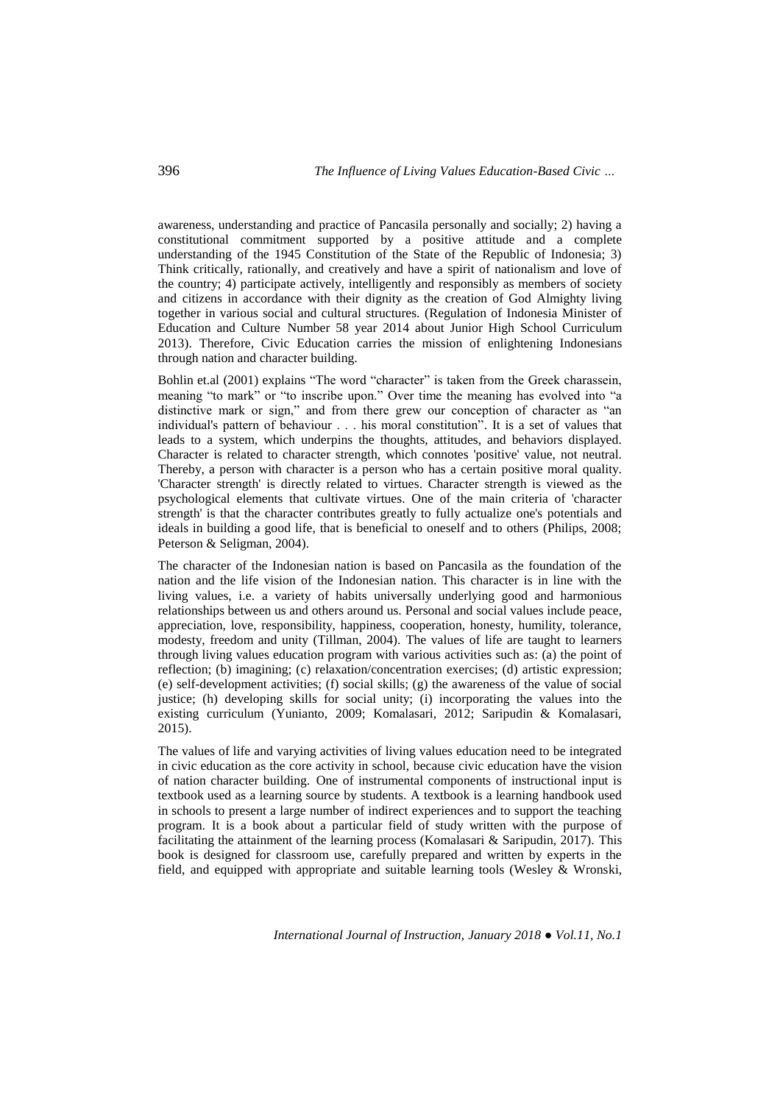awareness, understanding and practice of Pancasila personally and socially; 2) having a constitutional commitment supported by a positive attitude and a complete understanding of the 1945 Constitution of the State of the Republic of Indonesia; 3) Think critically, rationally, and creatively and have a spirit of nationalism and love of the country; 4) participate actively, intelligently and responsibly as members of society and citizens in accordance with their dignity as the creation of God Almighty living together in various social and cultural structures. (Regulation of Indonesia Minister of Education and Culture Number 58 year 2014 about Junior High School Curriculum 2013). Therefore, Civic Education carries the mission of enlightening Indonesians through nation and character building.

Bohlin et.al (2001) explains "The word "character" is taken from the Greek charassein, meaning "to mark" or "to inscribe upon." Over time the meaning has evolved into "a distinctive mark or sign," and from there grew our conception of character as "an individual's pattern of behaviour . . . his moral constitution". It is a set of values that leads to a system, which underpins the thoughts, attitudes, and behaviors displayed. Character is related to character strength, which connotes 'positive' value, not neutral. Thereby, a person with character is a person who has a certain positive moral quality. 'Character strength' is directly related to virtues. Character strength is viewed as the psychological elements that cultivate virtues. One of the main criteria of 'character strength' is that the character contributes greatly to fully actualize one's potentials and ideals in building a good life, that is beneficial to oneself and to others (Philips, 2008; Peterson & Seligman, 2004).

The character of the Indonesian nation is based on Pancasila as the foundation of the nation and the life vision of the Indonesian nation. This character is in line with the living values, i.e. a variety of habits universally underlying good and harmonious relationships between us and others around us. Personal and social values include peace, appreciation, love, responsibility, happiness, cooperation, honesty, humility, tolerance, modesty, freedom and unity (Tillman, 2004). The values of life are taught to learners through living values education program with various activities such as: (a) the point of reflection; (b) imagining; (c) relaxation/concentration exercises; (d) artistic expression; (e) self-development activities; (f) social skills; (g) the awareness of the value of social justice; (h) developing skills for social unity; (i) incorporating the values into the existing curriculum (Yunianto, 2009; Komalasari, 2012; Saripudin & Komalasari, 2015).

The values of life and varying activities of living values education need to be integrated in civic education as the core activity in school, because civic education have the vision of nation character building. One of instrumental components of instructional input is textbook used as a learning source by students. A textbook is a learning handbook used in schools to present a large number of indirect experiences and to support the teaching program. It is a book about a particular field of study written with the purpose of facilitating the attainment of the learning process (Komalasari & Saripudin, 2017). This book is designed for classroom use, carefully prepared and written by experts in the field, and equipped with appropriate and suitable learning tools (Wesley & Wronski,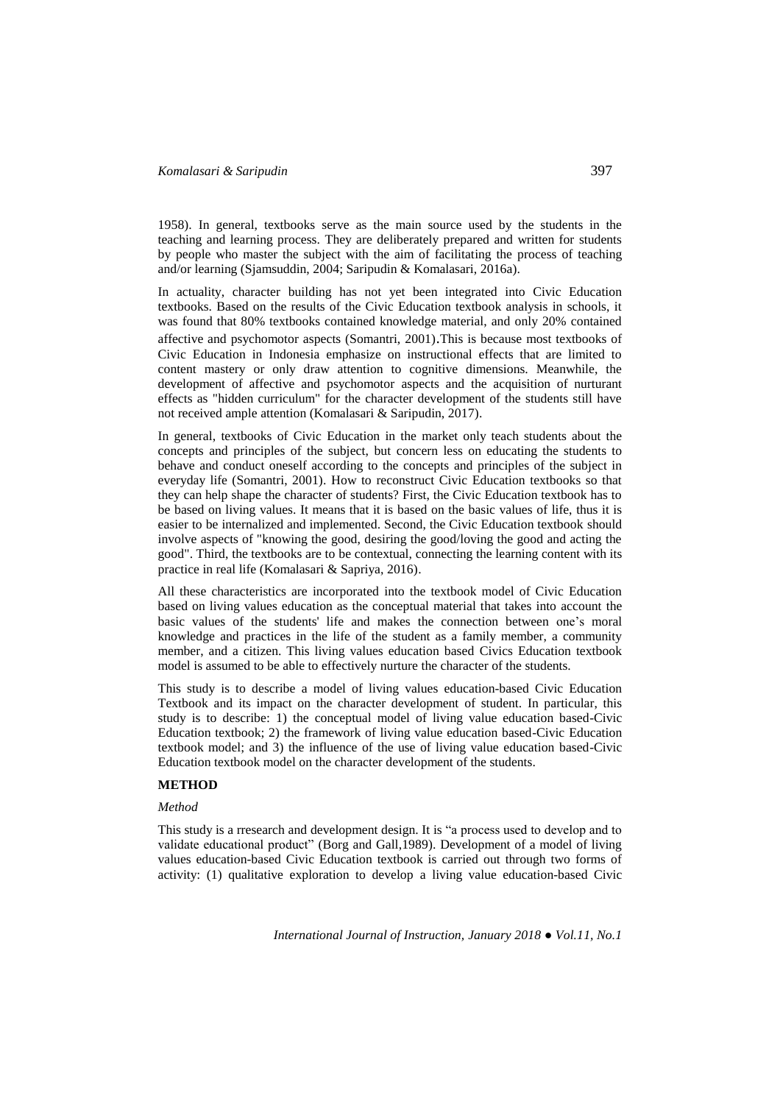1958). In general, textbooks serve as the main source used by the students in the teaching and learning process. They are deliberately prepared and written for students by people who master the subject with the aim of facilitating the process of teaching and/or learning (Sjamsuddin, 2004; Saripudin & Komalasari, 2016a).

In actuality, character building has not yet been integrated into Civic Education textbooks. Based on the results of the Civic Education textbook analysis in schools, it was found that 80% textbooks contained knowledge material, and only 20% contained affective and psychomotor aspects (Somantri, 2001).This is because most textbooks of Civic Education in Indonesia emphasize on instructional effects that are limited to content mastery or only draw attention to cognitive dimensions. Meanwhile, the development of affective and psychomotor aspects and the acquisition of nurturant effects as "hidden curriculum" for the character development of the students still have not received ample attention (Komalasari & Saripudin, 2017).

In general, textbooks of Civic Education in the market only teach students about the concepts and principles of the subject, but concern less on educating the students to behave and conduct oneself according to the concepts and principles of the subject in everyday life (Somantri, 2001). How to reconstruct Civic Education textbooks so that they can help shape the character of students? First, the Civic Education textbook has to be based on living values. It means that it is based on the basic values of life, thus it is easier to be internalized and implemented. Second, the Civic Education textbook should involve aspects of "knowing the good, desiring the good/loving the good and acting the good". Third, the textbooks are to be contextual, connecting the learning content with its practice in real life (Komalasari & Sapriya, 2016).

All these characteristics are incorporated into the textbook model of Civic Education based on living values education as the conceptual material that takes into account the basic values of the students' life and makes the connection between one's moral knowledge and practices in the life of the student as a family member, a community member, and a citizen. This living values education based Civics Education textbook model is assumed to be able to effectively nurture the character of the students.

This study is to describe a model of living values education-based Civic Education Textbook and its impact on the character development of student. In particular, this study is to describe: 1) the conceptual model of living value education based-Civic Education textbook; 2) the framework of living value education based-Civic Education textbook model; and 3) the influence of the use of living value education based-Civic Education textbook model on the character development of the students.

## **METHOD**

#### *Method*

This study is a rresearch and development design. It is "a process used to develop and to validate educational product" (Borg and Gall,1989). Development of a model of living values education-based Civic Education textbook is carried out through two forms of activity: (1) qualitative exploration to develop a living value education-based Civic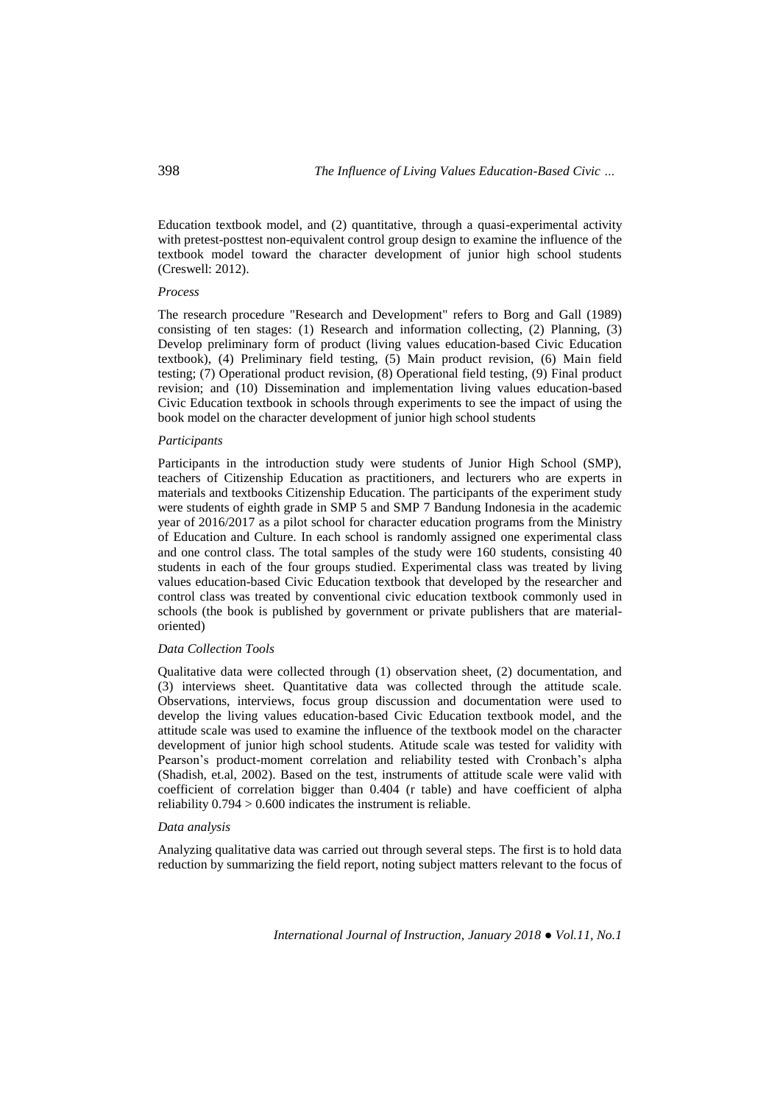Education textbook model, and (2) quantitative, through a quasi-experimental activity with pretest-posttest non-equivalent control group design to examine the influence of the textbook model toward the character development of junior high school students (Creswell: 2012).

#### *Process*

The research procedure "Research and Development" refers to Borg and Gall (1989) consisting of ten stages: (1) Research and information collecting, (2) Planning, (3) Develop preliminary form of product (living values education-based Civic Education textbook), (4) Preliminary field testing, (5) Main product revision, (6) Main field testing; (7) Operational product revision, (8) Operational field testing, (9) Final product revision; and (10) Dissemination and implementation living values education-based Civic Education textbook in schools through experiments to see the impact of using the book model on the character development of junior high school students

### *Participants*

Participants in the introduction study were students of Junior High School (SMP), teachers of Citizenship Education as practitioners, and lecturers who are experts in materials and textbooks Citizenship Education. The participants of the experiment study were students of eighth grade in SMP 5 and SMP 7 Bandung Indonesia in the academic year of 2016/2017 as a pilot school for character education programs from the Ministry of Education and Culture. In each school is randomly assigned one experimental class and one control class. The total samples of the study were 160 students, consisting 40 students in each of the four groups studied. Experimental class was treated by living values education-based Civic Education textbook that developed by the researcher and control class was treated by conventional civic education textbook commonly used in schools (the book is published by government or private publishers that are materialoriented)

#### *Data Collection Tools*

Qualitative data were collected through (1) observation sheet, (2) documentation, and (3) interviews sheet. Quantitative data was collected through the attitude scale. Observations, interviews, focus group discussion and documentation were used to develop the living values education-based Civic Education textbook model, and the attitude scale was used to examine the influence of the textbook model on the character development of junior high school students. Atitude scale was tested for validity with Pearson's product-moment correlation and reliability tested with Cronbach's alpha (Shadish, et.al, 2002). Based on the test, instruments of attitude scale were valid with coefficient of correlation bigger than 0.404 (r table) and have coefficient of alpha reliability 0.794 > 0.600 indicates the instrument is reliable.

#### *Data analysis*

Analyzing qualitative data was carried out through several steps. The first is to hold data reduction by summarizing the field report, noting subject matters relevant to the focus of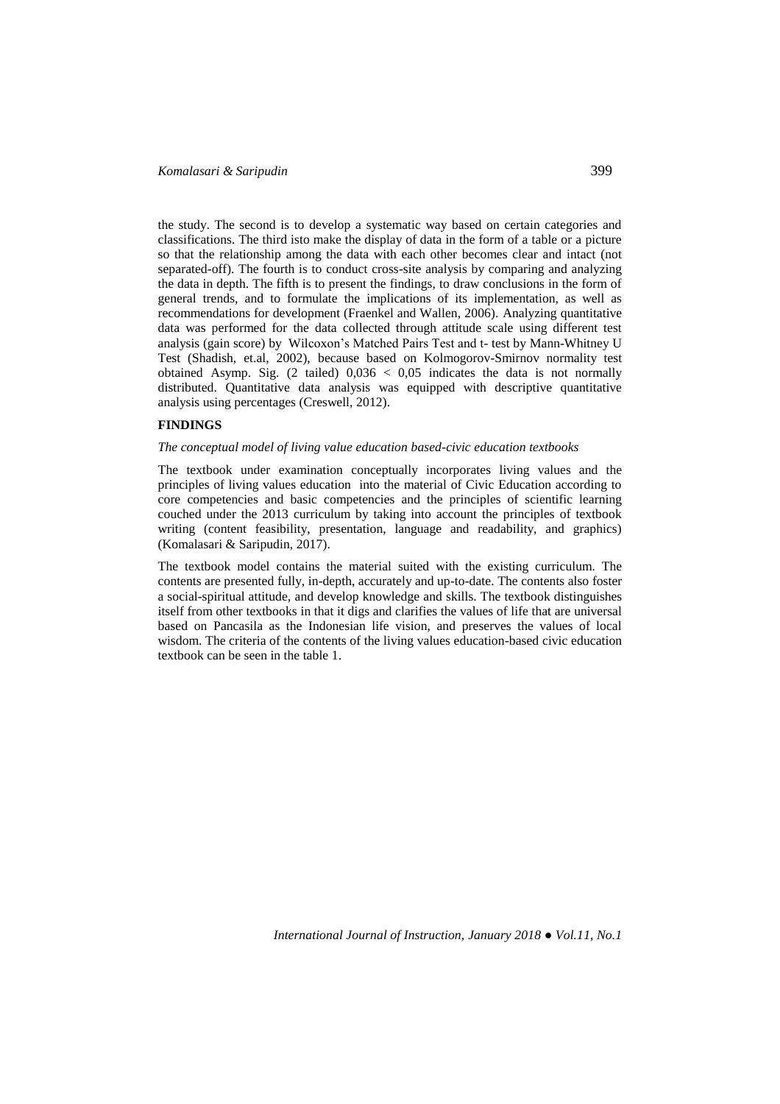the study. The second is to develop a systematic way based on certain categories and classifications. The third isto make the display of data in the form of a table or a picture so that the relationship among the data with each other becomes clear and intact (not separated-off). The fourth is to conduct cross-site analysis by comparing and analyzing the data in depth. The fifth is to present the findings, to draw conclusions in the form of general trends, and to formulate the implications of its implementation, as well as recommendations for development (Fraenkel and Wallen, 2006). Analyzing quantitative data was performed for the data collected through attitude scale using different test analysis (gain score) by Wilcoxon's Matched Pairs Test and t- test by Mann-Whitney U Test (Shadish, et.al, 2002), because based on Kolmogorov-Smirnov normality test obtained Asymp. Sig. (2 tailed)  $0.036 < 0.05$  indicates the data is not normally distributed. Quantitative data analysis was equipped with descriptive quantitative analysis using percentages (Creswell, 2012).

# **FINDINGS**

#### *The conceptual model of living value education based-civic education textbooks*

The textbook under examination conceptually incorporates living values and the principles of living values education into the material of Civic Education according to core competencies and basic competencies and the principles of scientific learning couched under the 2013 curriculum by taking into account the principles of textbook writing (content feasibility, presentation, language and readability, and graphics) (Komalasari & Saripudin, 2017).

The textbook model contains the material suited with the existing curriculum. The contents are presented fully, in-depth, accurately and up-to-date. The contents also foster a social-spiritual attitude, and develop knowledge and skills. The textbook distinguishes itself from other textbooks in that it digs and clarifies the values of life that are universal based on Pancasila as the Indonesian life vision, and preserves the values of local wisdom. The criteria of the contents of the living values education-based civic education textbook can be seen in the table 1.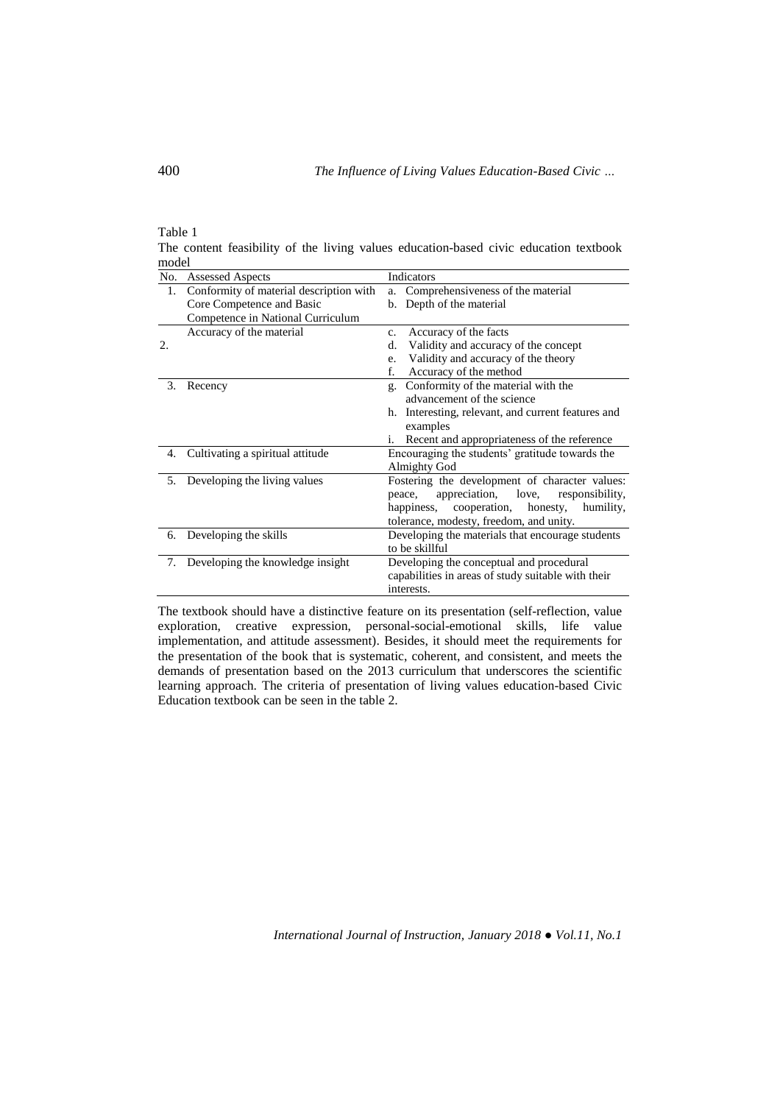| Table 1 |                                                                                       |            |  |  |  |  |  |  |
|---------|---------------------------------------------------------------------------------------|------------|--|--|--|--|--|--|
|         | The content feasibility of the living values education-based civic education textbook |            |  |  |  |  |  |  |
| model   |                                                                                       |            |  |  |  |  |  |  |
|         | No. Assessed Aspects                                                                  | Indicators |  |  |  |  |  |  |
|         | Conformity of material description with a. Comprehensiveness of the material          |            |  |  |  |  |  |  |

| 1. | Conformity of material description with | a. Comprehensiveness of the material                |
|----|-----------------------------------------|-----------------------------------------------------|
|    | Core Competence and Basic               | b. Depth of the material                            |
|    | Competence in National Curriculum       |                                                     |
|    | Accuracy of the material                | Accuracy of the facts<br>$\mathbf{c}$ .             |
| 2. |                                         | Validity and accuracy of the concept<br>d.          |
|    |                                         | Validity and accuracy of the theory<br>e.           |
|    |                                         | Accuracy of the method<br>f.                        |
| 3. | Recency                                 | Conformity of the material with the<br>ջ.           |
|    |                                         | advancement of the science                          |
|    |                                         | h. Interesting, relevant, and current features and  |
|    |                                         | examples                                            |
|    |                                         | Recent and appropriateness of the reference         |
| 4. | Cultivating a spiritual attitude        | Encouraging the students' gratitude towards the     |
|    |                                         | Almighty God                                        |
| 5. | Developing the living values            | Fostering the development of character values:      |
|    |                                         | appreciation,<br>love,<br>responsibility.<br>peace, |
|    |                                         | cooperation, honesty,<br>happiness,<br>humility,    |
|    |                                         | tolerance, modesty, freedom, and unity.             |
|    | 6. Developing the skills                | Developing the materials that encourage students    |
|    |                                         | to be skillful                                      |
| 7. | Developing the knowledge insight        | Developing the conceptual and procedural            |
|    |                                         | capabilities in areas of study suitable with their  |
|    |                                         | interests.                                          |

The textbook should have a distinctive feature on its presentation (self-reflection, value exploration, creative expression, personal-social-emotional skills, life value implementation, and attitude assessment). Besides, it should meet the requirements for the presentation of the book that is systematic, coherent, and consistent, and meets the demands of presentation based on the 2013 curriculum that underscores the scientific learning approach. The criteria of presentation of living values education-based Civic Education textbook can be seen in the table 2.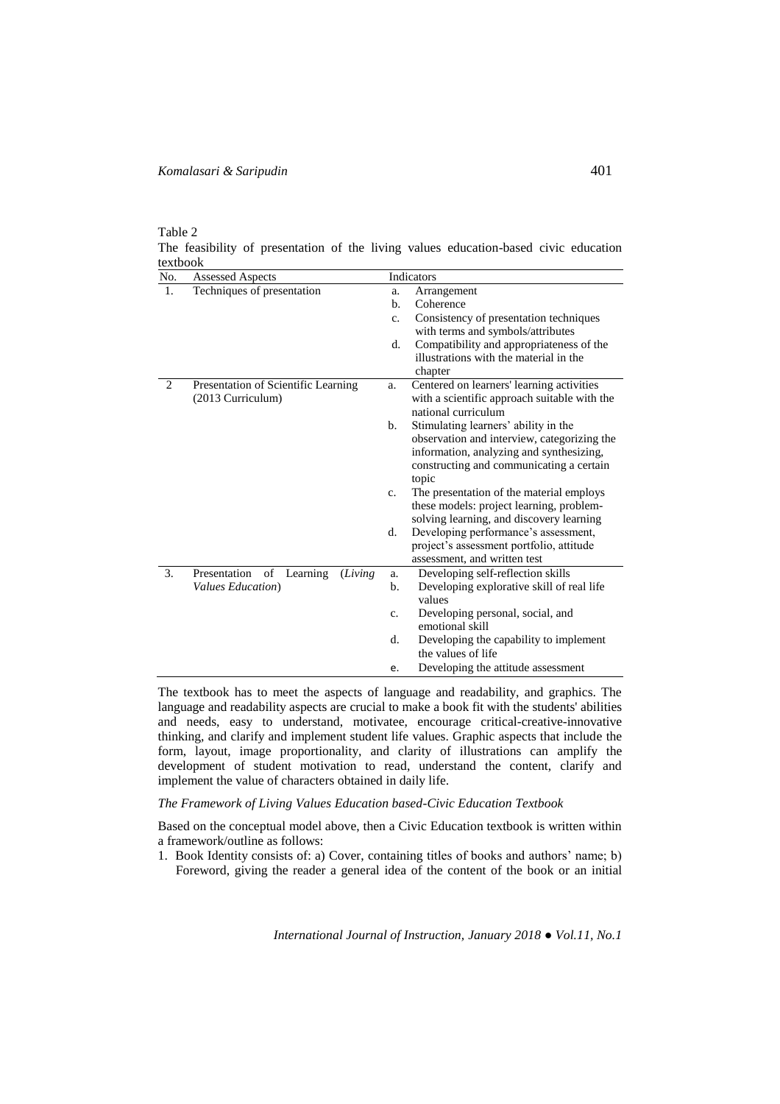| Table 2  |  |  |  |                                                                                      |  |
|----------|--|--|--|--------------------------------------------------------------------------------------|--|
|          |  |  |  | The feasibility of presentation of the living values education-based civic education |  |
| textbook |  |  |  |                                                                                      |  |

| No. | <b>Assessed Aspects</b>                   |                | Indicators                                   |  |  |  |
|-----|-------------------------------------------|----------------|----------------------------------------------|--|--|--|
| 1.  | Techniques of presentation                | a.             | Arrangement                                  |  |  |  |
|     |                                           | b.             | Coherence                                    |  |  |  |
|     |                                           | c.             | Consistency of presentation techniques       |  |  |  |
|     |                                           |                | with terms and symbols/attributes            |  |  |  |
|     |                                           | d.             | Compatibility and appropriateness of the     |  |  |  |
|     |                                           |                | illustrations with the material in the       |  |  |  |
|     |                                           |                | chapter                                      |  |  |  |
| 2   | Presentation of Scientific Learning       | a.             | Centered on learners' learning activities    |  |  |  |
|     | (2013 Curriculum)                         |                | with a scientific approach suitable with the |  |  |  |
|     |                                           |                | national curriculum                          |  |  |  |
|     |                                           | b.             | Stimulating learners' ability in the         |  |  |  |
|     |                                           |                | observation and interview, categorizing the  |  |  |  |
|     |                                           |                | information, analyzing and synthesizing,     |  |  |  |
|     |                                           |                | constructing and communicating a certain     |  |  |  |
|     |                                           |                | topic                                        |  |  |  |
|     |                                           | $\mathbf{c}$ . | The presentation of the material employs     |  |  |  |
|     |                                           |                | these models: project learning, problem-     |  |  |  |
|     |                                           |                | solving learning, and discovery learning     |  |  |  |
|     |                                           | d.             | Developing performance's assessment,         |  |  |  |
|     |                                           |                | project's assessment portfolio, attitude     |  |  |  |
|     |                                           |                | assessment, and written test                 |  |  |  |
| 3.  | of<br>Presentation<br>Learning<br>(Living | a.             | Developing self-reflection skills            |  |  |  |
|     | Values Education)                         | b.             | Developing explorative skill of real life    |  |  |  |
|     |                                           |                | values                                       |  |  |  |
|     |                                           | c.             | Developing personal, social, and             |  |  |  |
|     |                                           |                | emotional skill                              |  |  |  |
|     |                                           | d.             | Developing the capability to implement       |  |  |  |
|     |                                           |                | the values of life                           |  |  |  |
|     |                                           | e.             | Developing the attitude assessment           |  |  |  |

The textbook has to meet the aspects of language and readability, and graphics. The language and readability aspects are crucial to make a book fit with the students' abilities and needs, easy to understand, motivatee, encourage critical-creative-innovative thinking, and clarify and implement student life values. Graphic aspects that include the form, layout, image proportionality, and clarity of illustrations can amplify the development of student motivation to read, understand the content, clarify and implement the value of characters obtained in daily life.

*The Framework of Living Values Education based-Civic Education Textbook*

Based on the conceptual model above, then a Civic Education textbook is written within a framework/outline as follows:

1. Book Identity consists of: a) Cover, containing titles of books and authors' name; b) Foreword, giving the reader a general idea of the content of the book or an initial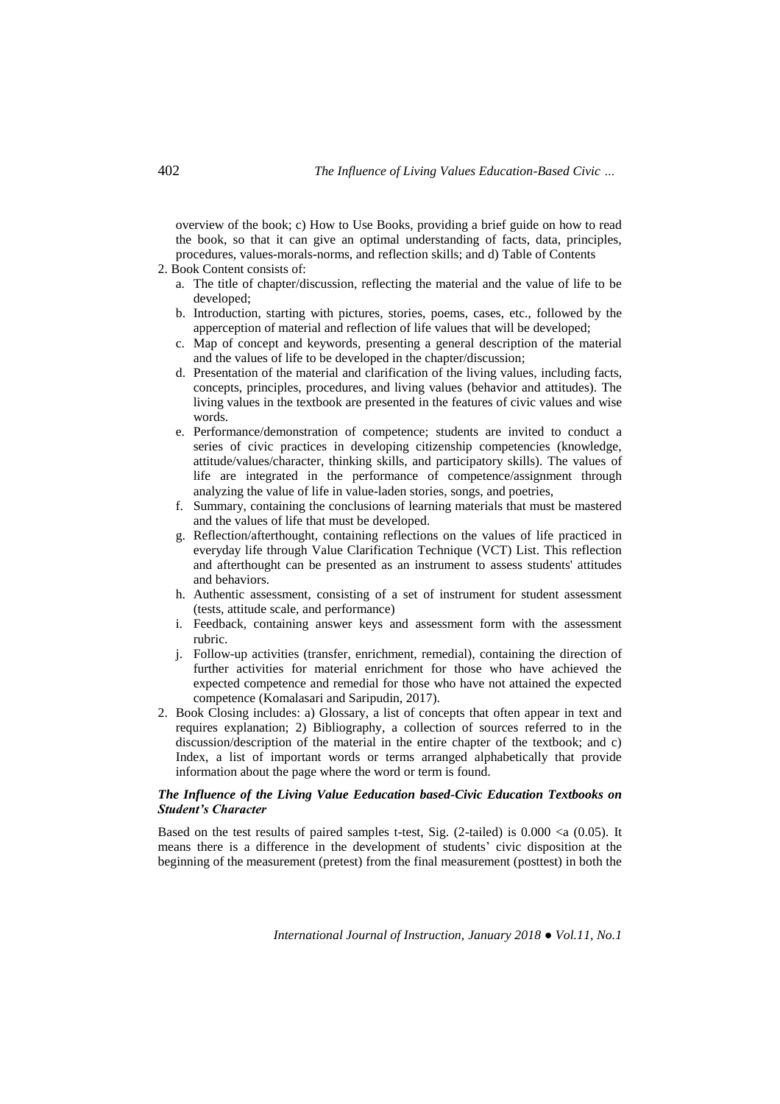overview of the book; c) How to Use Books, providing a brief guide on how to read the book, so that it can give an optimal understanding of facts, data, principles, procedures, values-morals-norms, and reflection skills; and d) Table of Contents

- 2. Book Content consists of:
	- a. The title of chapter/discussion, reflecting the material and the value of life to be developed;
	- b. Introduction, starting with pictures, stories, poems, cases, etc., followed by the apperception of material and reflection of life values that will be developed;
	- c. Map of concept and keywords, presenting a general description of the material and the values of life to be developed in the chapter/discussion;
	- d. Presentation of the material and clarification of the living values, including facts, concepts, principles, procedures, and living values (behavior and attitudes). The living values in the textbook are presented in the features of civic values and wise words.
	- e. Performance/demonstration of competence; students are invited to conduct a series of civic practices in developing citizenship competencies (knowledge, attitude/values/character, thinking skills, and participatory skills). The values of life are integrated in the performance of competence/assignment through analyzing the value of life in value-laden stories, songs, and poetries,
	- f. Summary, containing the conclusions of learning materials that must be mastered and the values of life that must be developed.
	- g. Reflection/afterthought, containing reflections on the values of life practiced in everyday life through Value Clarification Technique (VCT) List. This reflection and afterthought can be presented as an instrument to assess students' attitudes and behaviors.
	- h. Authentic assessment, consisting of a set of instrument for student assessment (tests, attitude scale, and performance)
	- i. Feedback, containing answer keys and assessment form with the assessment rubric.
	- j. Follow-up activities (transfer, enrichment, remedial), containing the direction of further activities for material enrichment for those who have achieved the expected competence and remedial for those who have not attained the expected competence (Komalasari and Saripudin, 2017).
- 2. Book Closing includes: a) Glossary, a list of concepts that often appear in text and requires explanation; 2) Bibliography, a collection of sources referred to in the discussion/description of the material in the entire chapter of the textbook; and c) Index, a list of important words or terms arranged alphabetically that provide information about the page where the word or term is found.

## *The Influence of the Living Value Eeducation based-Civic Education Textbooks on Student's Character*

Based on the test results of paired samples t-test, Sig.  $(2$ -tailed) is 0.000 <a  $(0.05)$ . It means there is a difference in the development of students' civic disposition at the beginning of the measurement (pretest) from the final measurement (posttest) in both the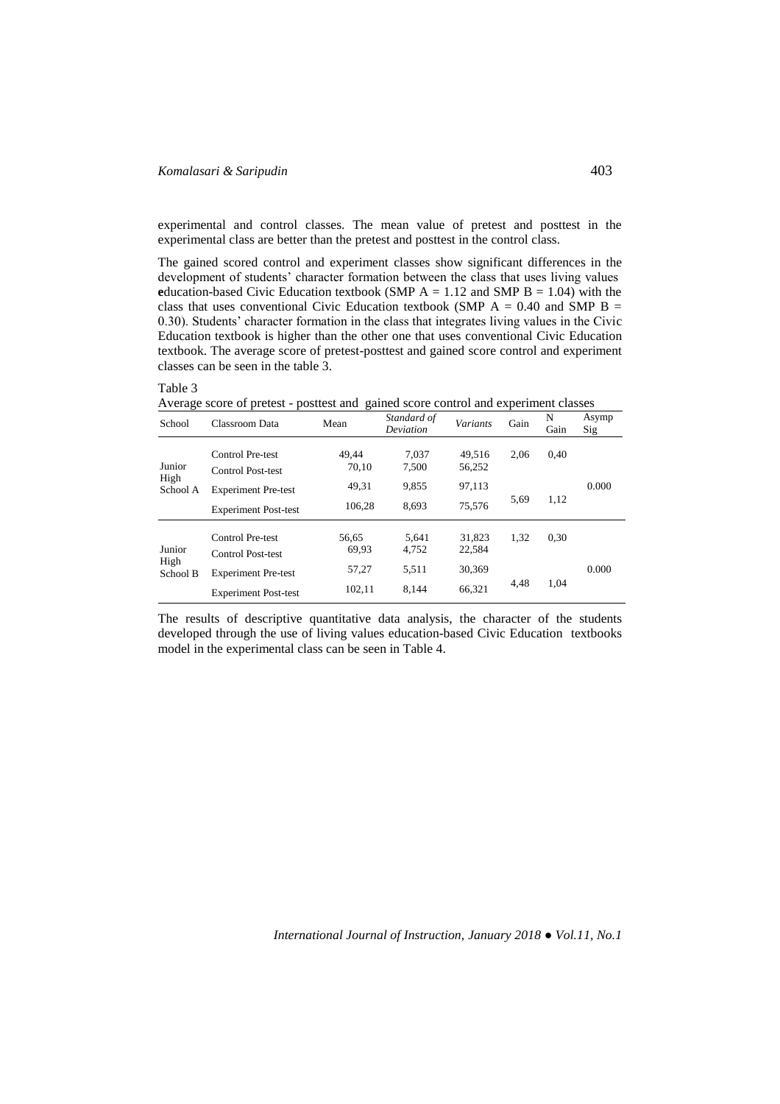experimental and control classes. The mean value of pretest and posttest in the experimental class are better than the pretest and posttest in the control class.

The gained scored control and experiment classes show significant differences in the development of students' character formation between the class that uses living values **e**ducation-based Civic Education textbook (SMP  $A = 1.12$  and SMP  $B = 1.04$ ) with the class that uses conventional Civic Education textbook (SMP  $A = 0.40$  and SMP B = 0.30). Students' character formation in the class that integrates living values in the Civic Education textbook is higher than the other one that uses conventional Civic Education textbook. The average score of pretest-posttest and gained score control and experiment classes can be seen in the table 3.

#### Table 3

Average score of pretest - posttest and gained score control and experiment classes

| ັ<br>School      | л.<br>Classroom Data                  | $\check{ }$<br>Mean | Standard of<br>Deviation | <b>Variants</b>  | Gain         | N<br>Gain | Asymp<br>Sig |
|------------------|---------------------------------------|---------------------|--------------------------|------------------|--------------|-----------|--------------|
| Junior           | Control Pre-test<br>Control Post-test | 49.44<br>70,10      | 7.037<br>7,500           | 49.516<br>56,252 | 2,06<br>0,40 |           |              |
| High<br>School A | <b>Experiment Pre-test</b>            | 49.31               | 9.855                    | 97.113           | 5,69         | 1,12      | 0.000        |
|                  | <b>Experiment Post-test</b>           | 106.28              | 8.693                    | 75.576           |              |           |              |
| Junior           | Control Pre-test<br>Control Post-test | 56.65<br>69.93      | 5.641<br>4,752           | 31.823<br>22,584 | 1,32         | 0.30      |              |
| High<br>School B | <b>Experiment Pre-test</b>            | 57,27               | 5,511                    | 30,369           |              |           | 0.000        |
|                  | <b>Experiment Post-test</b>           | 102,11              | 8.144                    | 66.321           | 4,48         | 1,04      |              |

The results of descriptive quantitative data analysis, the character of the students developed through the use of living values education-based Civic Education textbooks model in the experimental class can be seen in Table 4.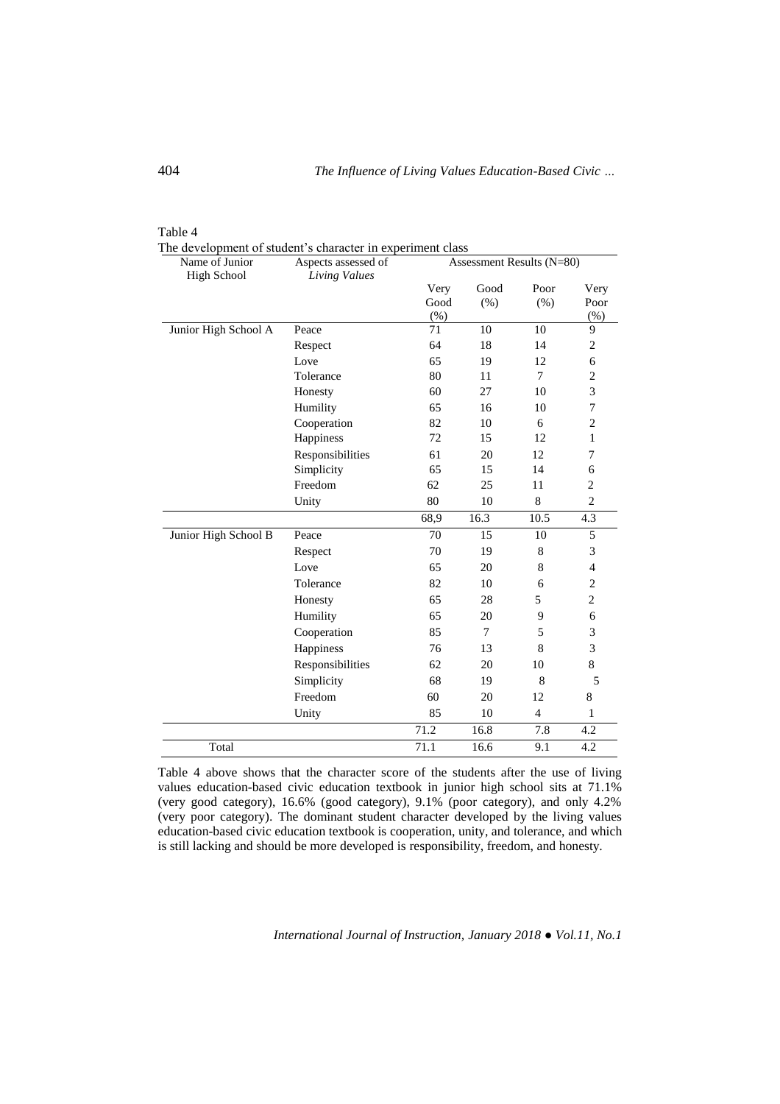| anie |  |
|------|--|
|------|--|

The development of student's character in experiment class

| Name of Junior<br><b>High School</b> | Aspects assessed of<br><b>Living Values</b> | Assessment Results (N=80) |              |                |                         |
|--------------------------------------|---------------------------------------------|---------------------------|--------------|----------------|-------------------------|
|                                      |                                             | Very<br>Good<br>$(\% )$   | Good<br>(% ) | Poor<br>(% )   | Very<br>Poor<br>$(\% )$ |
| Junior High School A                 | Peace                                       | 71                        | 10           | 10             | 9                       |
|                                      | Respect                                     | 64                        | 18           | 14             | $\sqrt{2}$              |
|                                      | Love                                        | 65                        | 19           | 12             | 6                       |
|                                      | Tolerance                                   | 80                        | 11           | $\overline{7}$ | $\mathbf{2}$            |
|                                      | Honesty                                     | 60                        | 27           | 10             | 3                       |
|                                      | Humility                                    | 65                        | 16           | 10             | 7                       |
|                                      | Cooperation                                 | 82                        | 10           | $\sqrt{6}$     | $\overline{c}$          |
|                                      | Happiness                                   | 72                        | 15           | 12             | $\mathbf{1}$            |
|                                      | Responsibilities                            | 61                        | 20           | 12             | 7                       |
|                                      | Simplicity                                  | 65                        | 15           | 14             | 6                       |
|                                      | Freedom                                     | 62                        | 25           | 11             | $\overline{c}$          |
|                                      | Unity                                       | 80                        | 10           | 8              | $\overline{2}$          |
|                                      |                                             | 68,9                      | 16.3         | 10.5           | 4.3                     |
| Junior High School B                 | Peace                                       | 70                        | 15           | 10             | 5                       |
|                                      | Respect                                     | 70                        | 19           | 8              | 3                       |
|                                      | Love                                        | 65                        | 20           | $\,8$          | $\overline{4}$          |
|                                      | Tolerance                                   | 82                        | 10           | 6              | $\overline{c}$          |
|                                      | Honesty                                     | 65                        | 28           | 5              | $\mathfrak{2}$          |
|                                      | Humility                                    | 65                        | 20           | 9              | 6                       |
|                                      | Cooperation                                 | 85                        | 7            | 5              | 3                       |
|                                      | Happiness                                   | 76                        | 13           | 8              | 3                       |
|                                      | Responsibilities                            | 62                        | 20           | 10             | 8                       |
|                                      | Simplicity                                  | 68                        | 19           | 8              | 5                       |
|                                      | Freedom                                     | 60                        | 20           | 12             | $8\,$                   |
|                                      | Unity                                       | 85                        | 10           | $\overline{4}$ | $\mathbf{1}$            |
|                                      |                                             | 71.2                      | 16.8         | 7.8            | 4.2                     |
| Total                                |                                             | 71.1                      | 16.6         | 9.1            | 4.2                     |

Table 4 above shows that the character score of the students after the use of living values education-based civic education textbook in junior high school sits at 71.1% (very good category), 16.6% (good category), 9.1% (poor category), and only 4.2% (very poor category). The dominant student character developed by the living values education-based civic education textbook is cooperation, unity, and tolerance, and which is still lacking and should be more developed is responsibility, freedom, and honesty.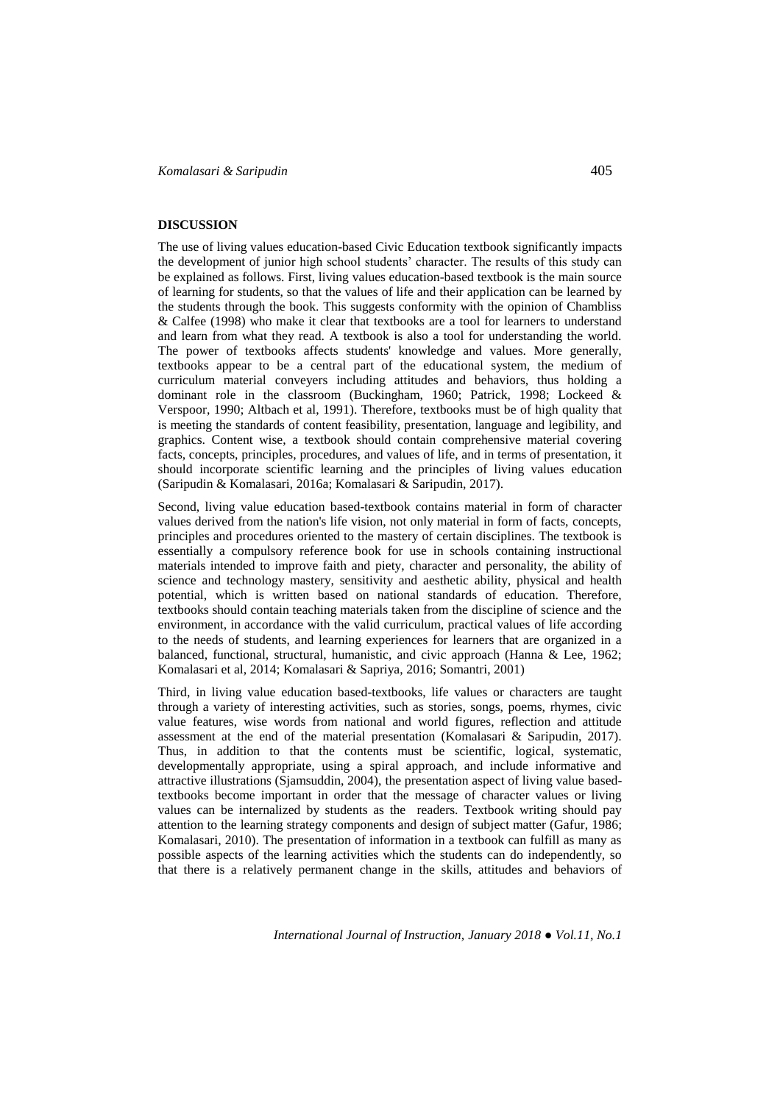### **DISCUSSION**

The use of living values education-based Civic Education textbook significantly impacts the development of junior high school students' character. The results of this study can be explained as follows. First, living values education-based textbook is the main source of learning for students, so that the values of life and their application can be learned by the students through the book. This suggests conformity with the opinion of Chambliss & Calfee (1998) who make it clear that textbooks are a tool for learners to understand and learn from what they read. A textbook is also a tool for understanding the world. The power of textbooks affects students' knowledge and values. More generally, textbooks appear to be a central part of the educational system, the medium of curriculum material conveyers including attitudes and behaviors, thus holding a dominant role in the classroom (Buckingham, 1960; Patrick, 1998; Lockeed & Verspoor, 1990; Altbach et al, 1991). Therefore, textbooks must be of high quality that is meeting the standards of content feasibility, presentation, language and legibility, and graphics. Content wise, a textbook should contain comprehensive material covering facts, concepts, principles, procedures, and values of life, and in terms of presentation, it should incorporate scientific learning and the principles of living values education (Saripudin & Komalasari, 2016a; Komalasari & Saripudin, 2017).

Second, living value education based-textbook contains material in form of character values derived from the nation's life vision, not only material in form of facts, concepts, principles and procedures oriented to the mastery of certain disciplines. The textbook is essentially a compulsory reference book for use in schools containing instructional materials intended to improve faith and piety, character and personality, the ability of science and technology mastery, sensitivity and aesthetic ability, physical and health potential, which is written based on national standards of education. Therefore, textbooks should contain teaching materials taken from the discipline of science and the environment, in accordance with the valid curriculum, practical values of life according to the needs of students, and learning experiences for learners that are organized in a balanced, functional, structural, humanistic, and civic approach (Hanna & Lee, 1962; Komalasari et al, 2014; Komalasari & Sapriya, 2016; Somantri, 2001)

Third, in living value education based-textbooks, life values or characters are taught through a variety of interesting activities, such as stories, songs, poems, rhymes, civic value features, wise words from national and world figures, reflection and attitude assessment at the end of the material presentation (Komalasari & Saripudin, 2017). Thus, in addition to that the contents must be scientific, logical, systematic, developmentally appropriate, using a spiral approach, and include informative and attractive illustrations (Sjamsuddin, 2004), the presentation aspect of living value basedtextbooks become important in order that the message of character values or living values can be internalized by students as the readers. Textbook writing should pay attention to the learning strategy components and design of subject matter (Gafur, 1986; Komalasari, 2010). The presentation of information in a textbook can fulfill as many as possible aspects of the learning activities which the students can do independently, so that there is a relatively permanent change in the skills, attitudes and behaviors of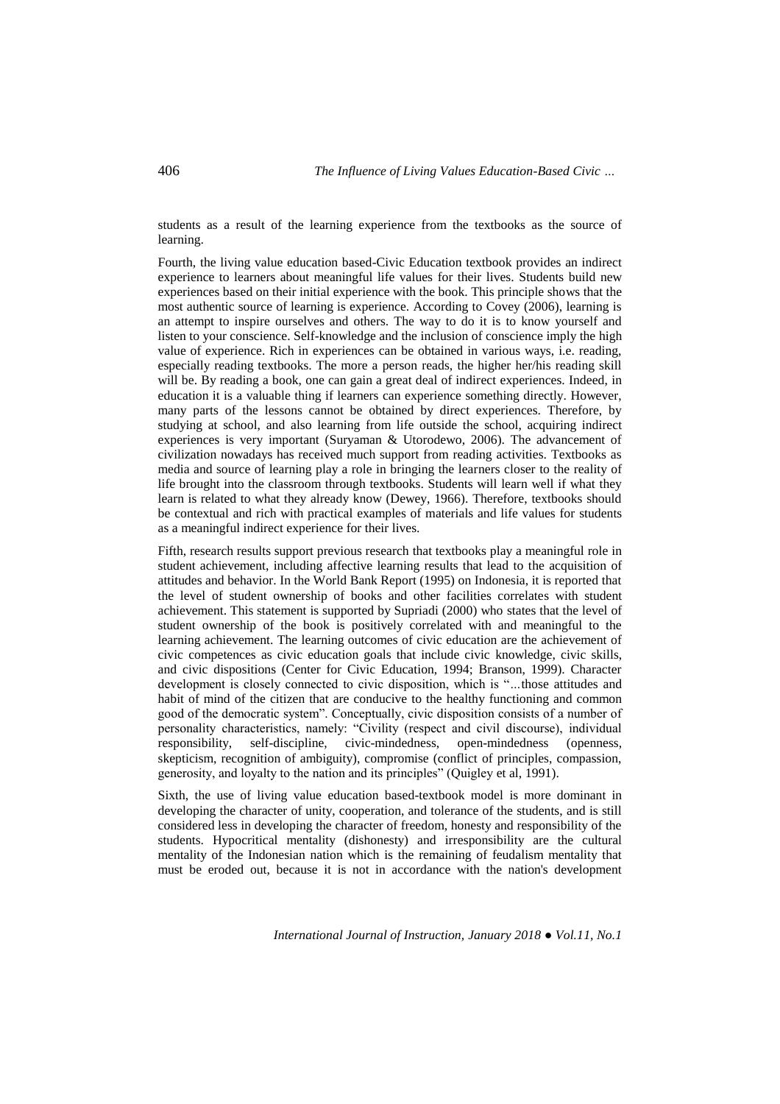students as a result of the learning experience from the textbooks as the source of learning.

Fourth, the living value education based-Civic Education textbook provides an indirect experience to learners about meaningful life values for their lives. Students build new experiences based on their initial experience with the book. This principle shows that the most authentic source of learning is experience. According to Covey (2006), learning is an attempt to inspire ourselves and others. The way to do it is to know yourself and listen to your conscience. Self-knowledge and the inclusion of conscience imply the high value of experience. Rich in experiences can be obtained in various ways, i.e. reading, especially reading textbooks. The more a person reads, the higher her/his reading skill will be. By reading a book, one can gain a great deal of indirect experiences. Indeed, in education it is a valuable thing if learners can experience something directly. However, many parts of the lessons cannot be obtained by direct experiences. Therefore, by studying at school, and also learning from life outside the school, acquiring indirect experiences is very important (Suryaman & Utorodewo, 2006). The advancement of civilization nowadays has received much support from reading activities. Textbooks as media and source of learning play a role in bringing the learners closer to the reality of life brought into the classroom through textbooks. Students will learn well if what they learn is related to what they already know (Dewey, 1966). Therefore, textbooks should be contextual and rich with practical examples of materials and life values for students as a meaningful indirect experience for their lives.

Fifth, research results support previous research that textbooks play a meaningful role in student achievement, including affective learning results that lead to the acquisition of attitudes and behavior. In the World Bank Report (1995) on Indonesia, it is reported that the level of student ownership of books and other facilities correlates with student achievement. This statement is supported by Supriadi (2000) who states that the level of student ownership of the book is positively correlated with and meaningful to the learning achievement. The learning outcomes of civic education are the achievement of civic competences as civic education goals that include civic knowledge, civic skills, and civic dispositions (Center for Civic Education, 1994; Branson, 1999). Character development is closely connected to civic disposition, which is "*…*those attitudes and habit of mind of the citizen that are conducive to the healthy functioning and common good of the democratic system". Conceptually, civic disposition consists of a number of personality characteristics, namely: "Civility (respect and civil discourse), individual responsibility, self-discipline, civic-mindedness, open-mindedness (openness, skepticism, recognition of ambiguity), compromise (conflict of principles, compassion, generosity, and loyalty to the nation and its principles" (Quigley et al, 1991).

Sixth, the use of living value education based-textbook model is more dominant in developing the character of unity, cooperation, and tolerance of the students, and is still considered less in developing the character of freedom, honesty and responsibility of the students. Hypocritical mentality (dishonesty) and irresponsibility are the cultural mentality of the Indonesian nation which is the remaining of feudalism mentality that must be eroded out, because it is not in accordance with the nation's development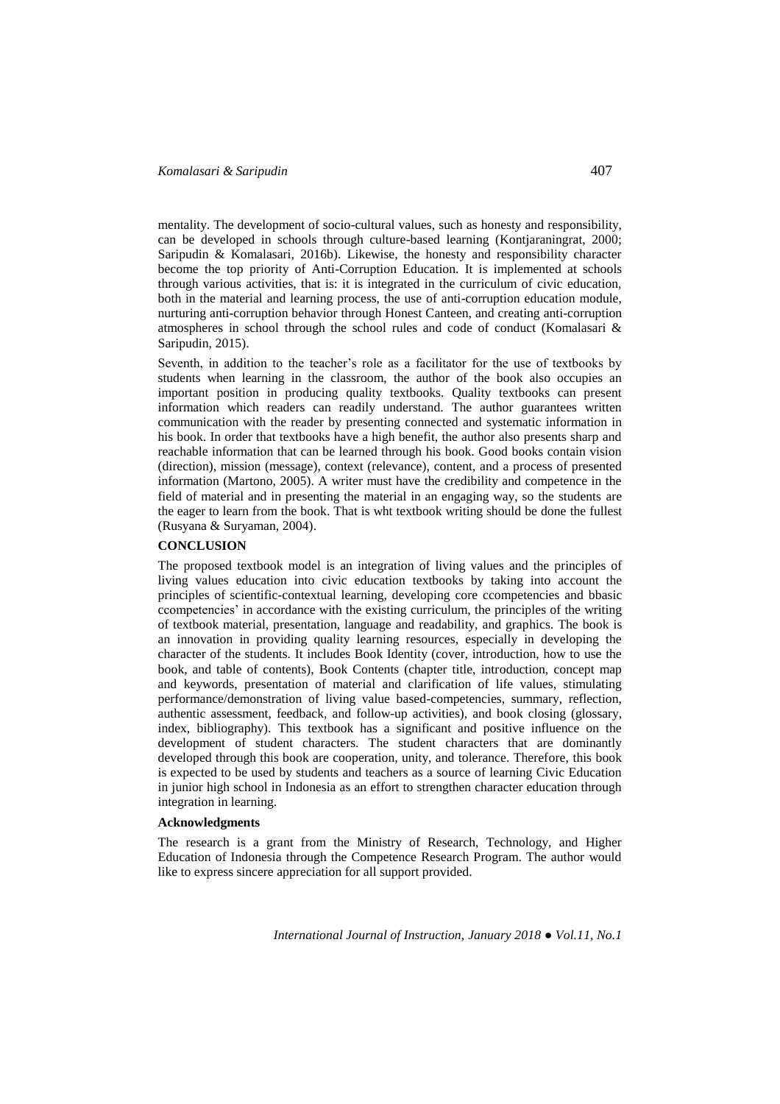mentality. The development of socio-cultural values, such as honesty and responsibility, can be developed in schools through culture-based learning (Kontjaraningrat, 2000; Saripudin & Komalasari, 2016b). Likewise, the honesty and responsibility character become the top priority of Anti-Corruption Education. It is implemented at schools through various activities, that is: it is integrated in the curriculum of civic education, both in the material and learning process, the use of anti-corruption education module, nurturing anti-corruption behavior through Honest Canteen, and creating anti-corruption atmospheres in school through the school rules and code of conduct (Komalasari & Saripudin, 2015).

Seventh, in addition to the teacher's role as a facilitator for the use of textbooks by students when learning in the classroom, the author of the book also occupies an important position in producing quality textbooks. Quality textbooks can present information which readers can readily understand. The author guarantees written communication with the reader by presenting connected and systematic information in his book. In order that textbooks have a high benefit, the author also presents sharp and reachable information that can be learned through his book. Good books contain vision (direction), mission (message), context (relevance), content, and a process of presented information (Martono, 2005). A writer must have the credibility and competence in the field of material and in presenting the material in an engaging way, so the students are the eager to learn from the book. That is wht textbook writing should be done the fullest (Rusyana & Suryaman, 2004).

## **CONCLUSION**

The proposed textbook model is an integration of living values and the principles of living values education into civic education textbooks by taking into account the principles of scientific-contextual learning, developing core ccompetencies and bbasic ccompetencies' in accordance with the existing curriculum, the principles of the writing of textbook material, presentation, language and readability, and graphics. The book is an innovation in providing quality learning resources, especially in developing the character of the students. It includes Book Identity (cover, introduction, how to use the book, and table of contents), Book Contents (chapter title, introduction, concept map and keywords, presentation of material and clarification of life values, stimulating performance/demonstration of living value based-competencies, summary, reflection, authentic assessment, feedback, and follow-up activities), and book closing (glossary, index, bibliography). This textbook has a significant and positive influence on the development of student characters. The student characters that are dominantly developed through this book are cooperation, unity, and tolerance. Therefore, this book is expected to be used by students and teachers as a source of learning Civic Education in junior high school in Indonesia as an effort to strengthen character education through integration in learning.

#### **Acknowledgments**

The research is a grant from the Ministry of Research, Technology, and Higher Education of Indonesia through the Competence Research Program. The author would like to express sincere appreciation for all support provided.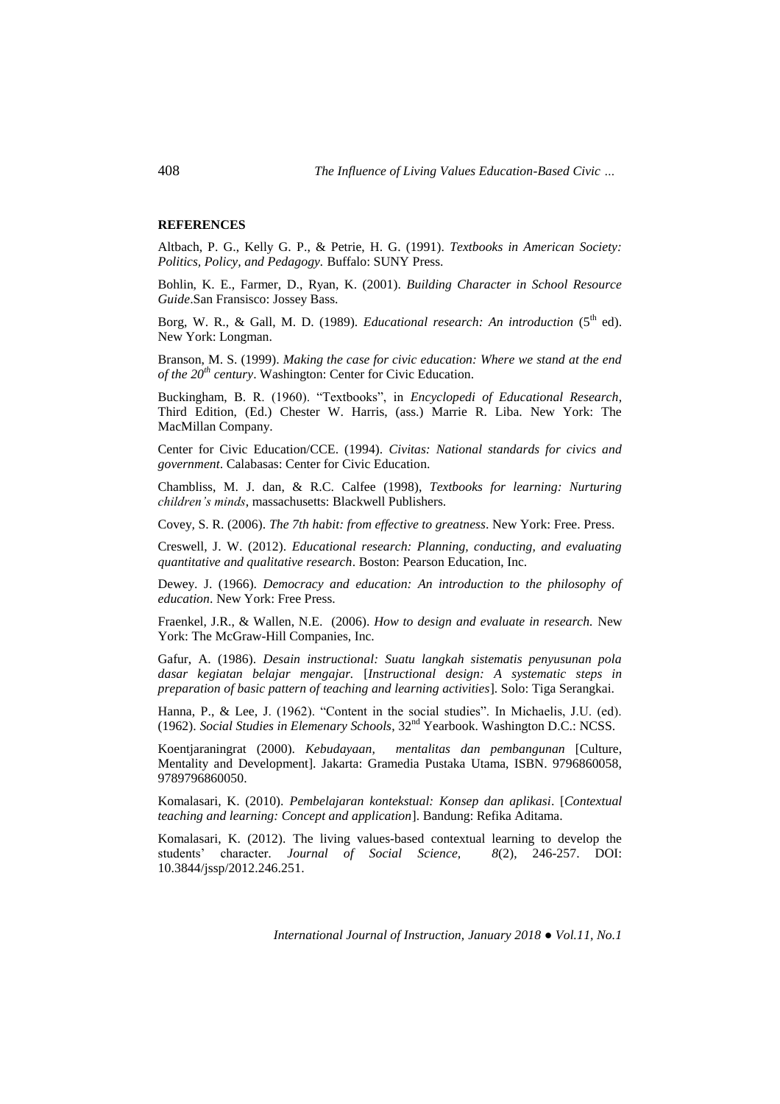## **REFERENCES**

Altbach, P. G., Kelly G. P., & Petrie, H. G. (1991). *Textbooks in American Society: Politics, Policy, and Pedagogy.* Buffalo: SUNY Press.

Bohlin, K. E., Farmer, D., Ryan, K. (2001). *Building Character in School Resource Guide*.San Fransisco: Jossey Bass.

Borg, W. R., & Gall, M. D. (1989). *Educational research: An introduction* (5<sup>th</sup> ed). New York: Longman.

Branson, M. S. (1999). *Making the case for civic education: Where we stand at the end of the 20th century*. Washington: Center for Civic Education.

Buckingham, B. R. (1960). "Textbooks", in *Encyclopedi of Educational Research*, Third Edition, (Ed.) Chester W. Harris, (ass.) Marrie R. Liba. New York: The MacMillan Company.

Center for Civic Education/CCE. (1994). *Civitas: National standards for civics and government*. Calabasas: Center for Civic Education.

Chambliss, M. J. dan, & R.C. Calfee (1998), *Textbooks for learning: Nurturing children's minds*, massachusetts: Blackwell Publishers.

Covey*,* S. R. (2006). *The 7th habit: from effective to greatness*. New York: Free. Press.

Creswell, J. W. (2012). *Educational research: Planning, conducting, and evaluating quantitative and qualitative research*. Boston: Pearson Education, Inc.

Dewey. J. (1966). *Democracy and education: An introduction to the philosophy of education*. New York: Free Press.

Fraenkel, J.R., & Wallen, N.E. (2006). *How to design and evaluate in research.* New York: The McGraw-Hill Companies, Inc.

Gafur, A. (1986). *Desain instructional: Suatu langkah sistematis penyusunan pola dasar kegiatan belajar mengajar.* [*Instructional design: A systematic steps in preparation of basic pattern of teaching and learning activities*]. Solo: Tiga Serangkai.

Hanna, P., & Lee, J. (1962). "Content in the social studies". In Michaelis, J.U. (ed). (1962). *Social Studies in Elemenary Schools*, 32nd Yearbook. Washington D.C.: NCSS.

Koentjaraningrat (2000). *Kebudayaan, mentalitas dan pembangunan* [Culture, Mentality and Development]. Jakarta: Gramedia Pustaka Utama, ISBN. 9796860058, 9789796860050.

Komalasari, K. (2010). *Pembelajaran kontekstual: Konsep dan aplikasi*. [*Contextual teaching and learning: Concept and application*]. Bandung: Refika Aditama.

Komalasari, K. (2012). The living values-based contextual learning to develop the students' character*. Journal of Social Science, 8*(2), 246-257. DOI: 10.3844/jssp/2012.246.251.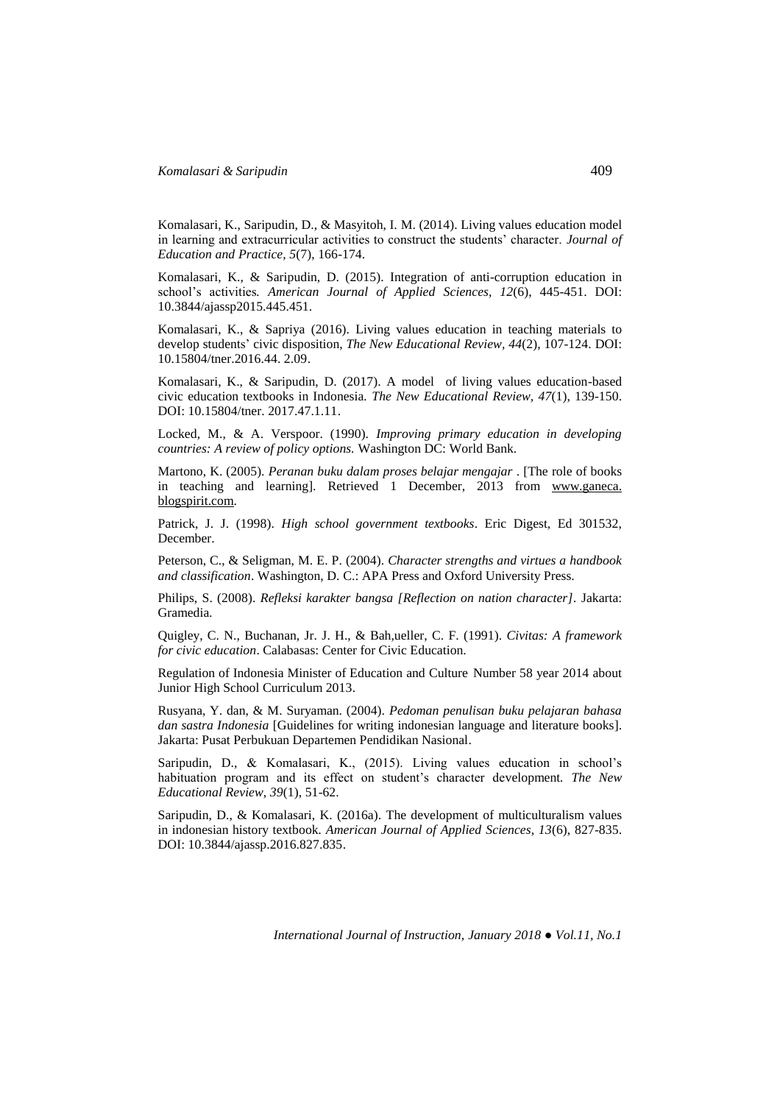Komalasari, K., Saripudin, D., & Masyitoh, I. M. (2014). Living values education model in learning and extracurricular activities to construct the students' character. *Journal of Education and Practice, 5*(7), 166-174.

Komalasari, K., & Saripudin, D. (2015). Integration of anti-corruption education in school's activities*. American Journal of Applied Sciences, 12*(6), 445-451. DOI: 10.3844/ajassp2015.445.451.

Komalasari, K., & Sapriya (2016). Living values education in teaching materials to develop students' civic disposition*, The New Educational Review, 44*(2), 107-124. DOI: 10.15804/tner.2016.44. 2.09.

Komalasari, K., & Saripudin, D. (2017). A model of living values education-based civic education textbooks in Indonesia*. The New Educational Review, 47*(1), 139-150. DOI: 10.15804/tner. 2017.47.1.11.

Locked, M., & A. Verspoor. (1990). *Improving primary education in developing countries: A review of policy options.* Washington DC: World Bank.

Martono, K. (2005). *Peranan buku dalam proses belajar mengajar* . [The role of books in teaching and learning]. Retrieved 1 December, 2013 from www.ganeca. blogspirit.com.

Patrick, J. J. (1998). *High school government textbooks*. Eric Digest, Ed 301532, December.

Peterson, C., & Seligman, M. E. P. (2004). *[Character strengths and virtues a handbook](http://www.amazon.com/gp/product/0195167015/sr=1-1/qid=1155654715/ref=sr_1_1/002-0810770-1868068?ie=UTF8&s=books)  [and classification](http://www.amazon.com/gp/product/0195167015/sr=1-1/qid=1155654715/ref=sr_1_1/002-0810770-1868068?ie=UTF8&s=books)*. Washington, D. C.: APA Press and Oxford University Press.

Philips, S. (2008). *Refleksi karakter bangsa [Reflection on nation character].* Jakarta: Gramedia*.*

Quigley, C. N., Buchanan, Jr. J. H., & Bah,ueller, C. F. (1991). *Civitas: A framework for civic education*. Calabasas: Center for Civic Education.

Regulation of Indonesia Minister of Education and Culture Number 58 year 2014 about Junior High School Curriculum 2013.

Rusyana, Y. dan, & M. Suryaman. (2004). *Pedoman penulisan buku pelajaran bahasa dan sastra Indonesia* [Guidelines for writing indonesian language and literature books]. Jakarta: Pusat Perbukuan Departemen Pendidikan Nasional.

Saripudin, D., & Komalasari, K., (2015). Living values education in school's habituation program and its effect on student's character development*. The New Educational Review, 39*(1), 51-62.

Saripudin, D., & Komalasari, K. (2016a). The development of multiculturalism values in indonesian history textbook*. American Journal of Applied Sciences, 13*(6), 827-835. DOI: 10.3844/ajassp.2016.827.835.